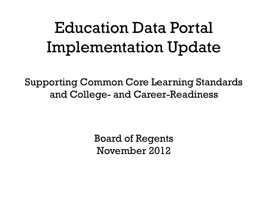### Education Data Portal Implementation Update

Supporting Common Core Learning Standards and College- and Career-Readiness

> Board of Regents November 2012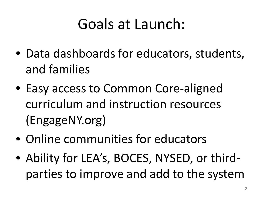### Goals at Launch:

- Data dashboards for educators, students, and families
- Easy access to Common Core-aligned curriculum and instruction resources (EngageNY.org)
- Online communities for educators
- Ability for LEA's, BOCES, NYSED, or thirdparties to improve and add to the system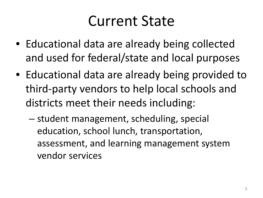#### Current State

- Educational data are already being collected and used for federal/state and local purposes
- Educational data are already being provided to third-party vendors to help local schools and districts meet their needs including:
	- student management, scheduling, special education, school lunch, transportation, assessment, and learning management system vendor services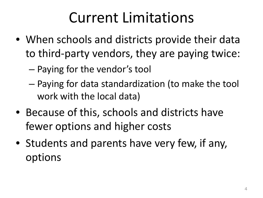#### Current Limitations

- When schools and districts provide their data to third-party vendors, they are paying twice:
	- Paying for the vendor's tool
	- Paying for data standardization (to make the tool work with the local data)
- Because of this, schools and districts have fewer options and higher costs
- Students and parents have very few, if any, options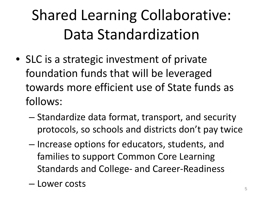# Shared Learning Collaborative: Data Standardization

- SLC is a strategic investment of private foundation funds that will be leveraged towards more efficient use of State funds as follows:
	- Standardize data format, transport, and security protocols, so schools and districts don't pay twice
	- Increase options for educators, students, and families to support Common Core Learning Standards and College- and Career-Readiness
	- Lower costs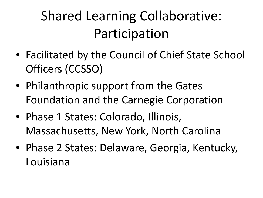#### Shared Learning Collaborative: Participation

- Facilitated by the Council of Chief State School Officers (CCSSO)
- Philanthropic support from the Gates Foundation and the Carnegie Corporation
- Phase 1 States: Colorado, Illinois, Massachusetts, New York, North Carolina
- Phase 2 States: Delaware, Georgia, Kentucky, Louisiana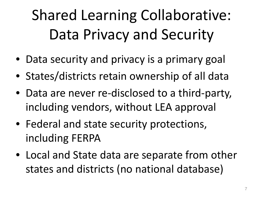Shared Learning Collaborative: Data Privacy and Security

- Data security and privacy is a primary goal
- States/districts retain ownership of all data
- Data are never re-disclosed to a third-party, including vendors, without LEA approval
- Federal and state security protections, including FERPA
- Local and State data are separate from other states and districts (no national database)